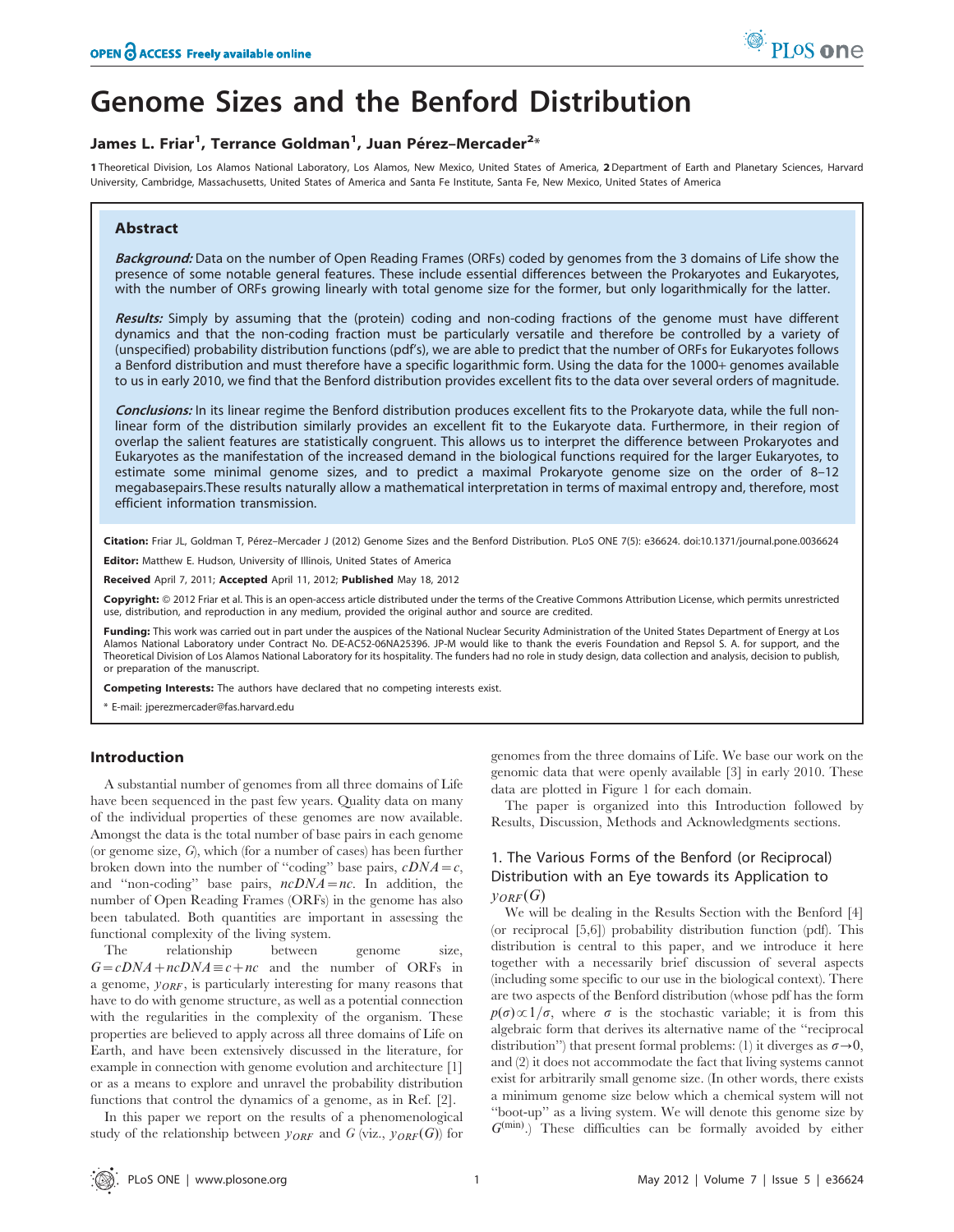

# Genome Sizes and the Benford Distribution

# James L. Friar<sup>1</sup>, Terrance Goldman<sup>1</sup>, Juan Pérez-Mercader<sup>2</sup>\*

1 Theoretical Division, Los Alamos National Laboratory, Los Alamos, New Mexico, United States of America, 2 Department of Earth and Planetary Sciences, Harvard University, Cambridge, Massachusetts, United States of America and Santa Fe Institute, Santa Fe, New Mexico, United States of America

# Abstract

Background: Data on the number of Open Reading Frames (ORFs) coded by genomes from the 3 domains of Life show the presence of some notable general features. These include essential differences between the Prokaryotes and Eukaryotes, with the number of ORFs growing linearly with total genome size for the former, but only logarithmically for the latter.

Results: Simply by assuming that the (protein) coding and non-coding fractions of the genome must have different dynamics and that the non-coding fraction must be particularly versatile and therefore be controlled by a variety of (unspecified) probability distribution functions (pdf's), we are able to predict that the number of ORFs for Eukaryotes follows a Benford distribution and must therefore have a specific logarithmic form. Using the data for the 1000*+* genomes available to us in early 2010, we find that the Benford distribution provides excellent fits to the data over several orders of magnitude.

Conclusions: In its linear regime the Benford distribution produces excellent fits to the Prokaryote data, while the full nonlinear form of the distribution similarly provides an excellent fit to the Eukaryote data. Furthermore, in their region of overlap the salient features are statistically congruent. This allows us to interpret the difference between Prokaryotes and Eukaryotes as the manifestation of the increased demand in the biological functions required for the larger Eukaryotes, to estimate some minimal genome sizes, and to predict a maximal Prokaryote genome size on the order of 8–12 megabasepairs.These results naturally allow a mathematical interpretation in terms of maximal entropy and, therefore, most efficient information transmission.

Citation: Friar JL, Goldman T, Pérez–Mercader J (2012) Genome Sizes and the Benford Distribution. PLoS ONE 7(5): e36624. doi:10.1371/journal.pone.0036624

Editor: Matthew E. Hudson, University of Illinois, United States of America

Received April 7, 2011; Accepted April 11, 2012; Published May 18, 2012

Copyright: @ 2012 Friar et al. This is an open-access article distributed under the terms of the Creative Commons Attribution License, which permits unrestricted use, distribution, and reproduction in any medium, provided the original author and source are credited.

Funding: This work was carried out in part under the auspices of the National Nuclear Security Administration of the United States Department of Energy at Los Alamos National Laboratory under Contract No. DE-AC52-06NA25396. JP-M would like to thank the everis Foundation and Repsol S. A. for support, and the Theoretical Division of Los Alamos National Laboratory for its hospitality. The funders had no role in study design, data collection and analysis, decision to publish, or preparation of the manuscript.

Competing Interests: The authors have declared that no competing interests exist.

\* E-mail: jperezmercader@fas.harvard.edu

# Introduction

A substantial number of genomes from all three domains of Life have been sequenced in the past few years. Quality data on many of the individual properties of these genomes are now available. Amongst the data is the total number of base pairs in each genome (or genome size, G), which (for a number of cases) has been further broken down into the number of "coding" base pairs,  $cDNA = c$ , and "non-coding" base pairs,  $ncDNA=nc$ . In addition, the number of Open Reading Frames (ORFs) in the genome has also been tabulated. Both quantities are important in assessing the functional complexity of the living system.

The relationship between genome size,  $G=cDNA+ncDNA\equiv c+nc$  and the number of ORFs in a genome,  $y_{ORF}$ , is particularly interesting for many reasons that have to do with genome structure, as well as a potential connection with the regularities in the complexity of the organism. These properties are believed to apply across all three domains of Life on Earth, and have been extensively discussed in the literature, for example in connection with genome evolution and architecture [1] or as a means to explore and unravel the probability distribution functions that control the dynamics of a genome, as in Ref. [2].

In this paper we report on the results of a phenomenological study of the relationship between  $y_{ORF}$  and G (viz.,  $y_{ORF}(G)$ ) for

genomes from the three domains of Life. We base our work on the genomic data that were openly available [3] in early 2010. These data are plotted in Figure 1 for each domain.

The paper is organized into this Introduction followed by Results, Discussion, Methods and Acknowledgments sections.

# 1. The Various Forms of the Benford (or Reciprocal) Distribution with an Eye towards its Application to  $V_{ORF}(G)$

We will be dealing in the Results Section with the Benford [4] (or reciprocal [5,6]) probability distribution function (pdf). This distribution is central to this paper, and we introduce it here together with a necessarily brief discussion of several aspects (including some specific to our use in the biological context). There are two aspects of the Benford distribution (whose pdf has the form  $p(\sigma) \propto 1/\sigma$ , where  $\sigma$  is the stochastic variable; it is from this algebraic form that derives its alternative name of the ''reciprocal distribution'') that present formal problems: (1) it diverges as  $\sigma \rightarrow 0$ , and (2) it does not accommodate the fact that living systems cannot exist for arbitrarily small genome size. (In other words, there exists a minimum genome size below which a chemical system will not ''boot-up'' as a living system. We will denote this genome size by  $G^{(min)}$ .) These difficulties can be formally avoided by either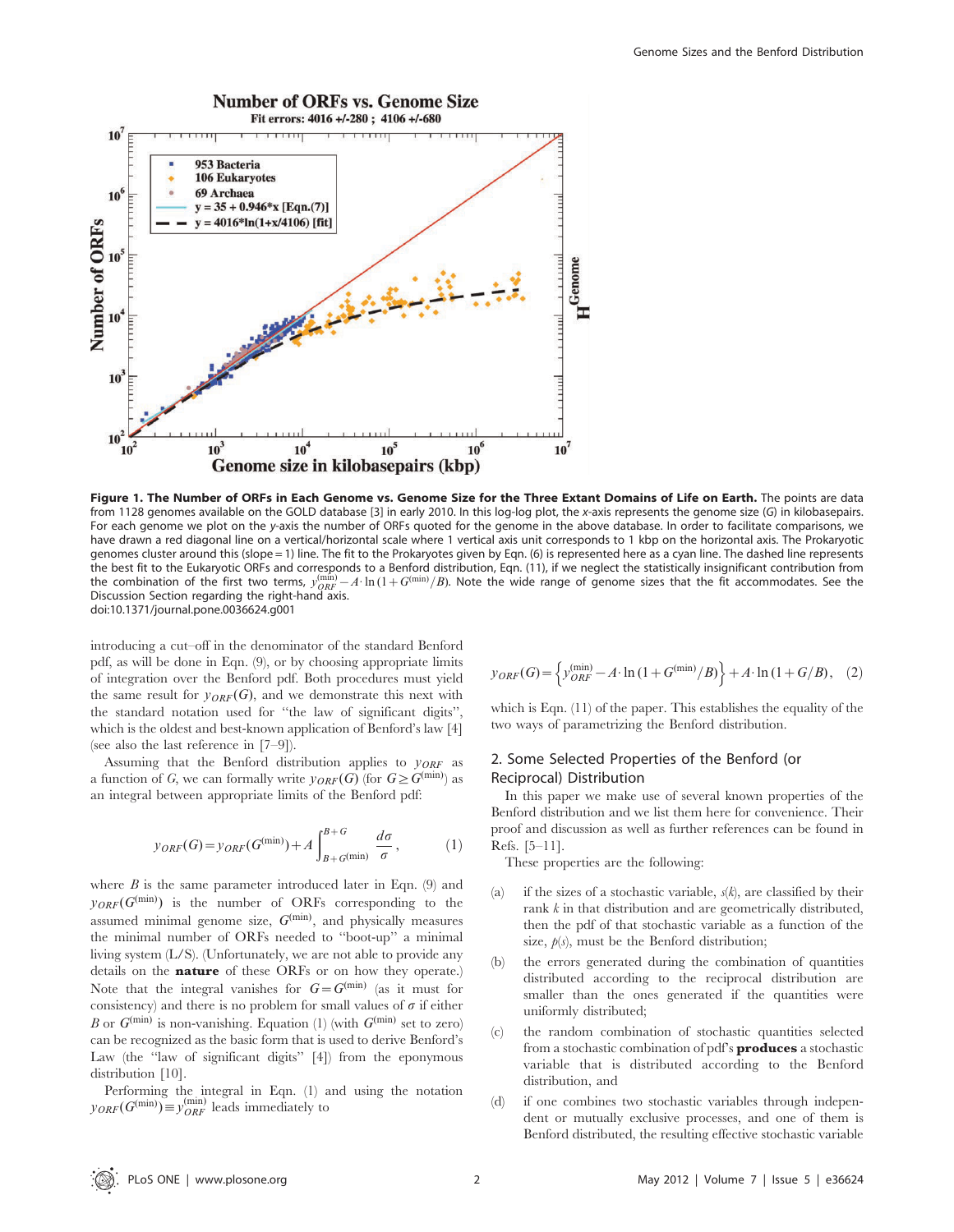

Figure 1. The Number of ORFs in Each Genome vs. Genome Size for the Three Extant Domains of Life on Earth. The points are data from 1128 genomes available on the GOLD database [3] in early 2010. In this log-log plot, the x-axis represents the genome size (G) in kilobasepairs. For each genome we plot on the y-axis the number of ORFs quoted for the genome in the above database. In order to facilitate comparisons, we have drawn a red diagonal line on a vertical/horizontal scale where 1 vertical axis unit corresponds to 1 kbp on the horizontal axis. The Prokaryotic genomes cluster around this (slope = 1) line. The fit to the Prokaryotes given by Eqn. (6) is represented here as a cyan line. The dashed line represents the best fit to the Eukaryotic ORFs and corresponds to a Benford distribution, Eqn. (11), if we neglect the statistically insignificant contribution from the combination of the first two terms,  $y_{ORF}^{(min)}-A\cdot\ln(1+G^{(min)}/B)$ . Note the wide range of genome sizes that the fit accommodates. See the Discussion Section regarding the right-hand axis. doi:10.1371/journal.pone.0036624.g001

introducing a cut–off in the denominator of the standard Benford pdf, as will be done in Eqn. (9), or by choosing appropriate limits of integration over the Benford pdf. Both procedures must yield the same result for  $y_{ORF}(G)$ , and we demonstrate this next with the standard notation used for ''the law of significant digits'', which is the oldest and best-known application of Benford's law [4] (see also the last reference in [7–9]).

Assuming that the Benford distribution applies to  $y_{ORF}$  as a function of G, we can formally write  $y_{ORF}(G)$  (for  $G \geq G^{(\min)}$ ) as an integral between appropriate limits of the Benford pdf:

$$
y_{ORF}(G) = y_{ORF}(G^{(\min)}) + A \int_{B+G^{(\min)}}^{B+G} \frac{d\sigma}{\sigma}, \qquad (1)
$$

where  $B$  is the same parameter introduced later in Eqn. (9) and  $y_{ORF}(G^{(\min)})$  is the number of ORFs corresponding to the assumed minimal genome size,  $G^{(min)}$ , and physically measures the minimal number of ORFs needed to ''boot-up'' a minimal living system (L/S). (Unfortunately, we are not able to provide any details on the nature of these ORFs or on how they operate.) Note that the integral vanishes for  $G=G^{(\min)}$  (as it must for consistency) and there is no problem for small values of  $\sigma$  if either B or  $G^{(\min)}$  is non-vanishing. Equation (1) (with  $G^{(\min)}$  set to zero) can be recognized as the basic form that is used to derive Benford's Law (the "law of significant digits" [4]) from the eponymous distribution [10].

Performing the integral in Eqn. (1) and using the notation  $y_{ORF}(G^{(min)}) \equiv y^{(min)}_{ORF}$  leads immediately to

$$
y_{ORF}(G) = \left\{ y_{ORF}^{(min)} - A \cdot \ln(1 + G^{(min)}/B) \right\} + A \cdot \ln(1 + G/B), \quad (2)
$$

which is Eqn. (11) of the paper. This establishes the equality of the two ways of parametrizing the Benford distribution.

# 2. Some Selected Properties of the Benford (or Reciprocal) Distribution

In this paper we make use of several known properties of the Benford distribution and we list them here for convenience. Their proof and discussion as well as further references can be found in Refs. [5–11].

These properties are the following:

- (a) if the sizes of a stochastic variable,  $s(k)$ , are classified by their rank  $k$  in that distribution and are geometrically distributed, then the pdf of that stochastic variable as a function of the size,  $p(s)$ , must be the Benford distribution;
- (b) the errors generated during the combination of quantities distributed according to the reciprocal distribution are smaller than the ones generated if the quantities were uniformly distributed;
- (c) the random combination of stochastic quantities selected from a stochastic combination of pdf's produces a stochastic variable that is distributed according to the Benford distribution, and
- (d) if one combines two stochastic variables through independent or mutually exclusive processes, and one of them is Benford distributed, the resulting effective stochastic variable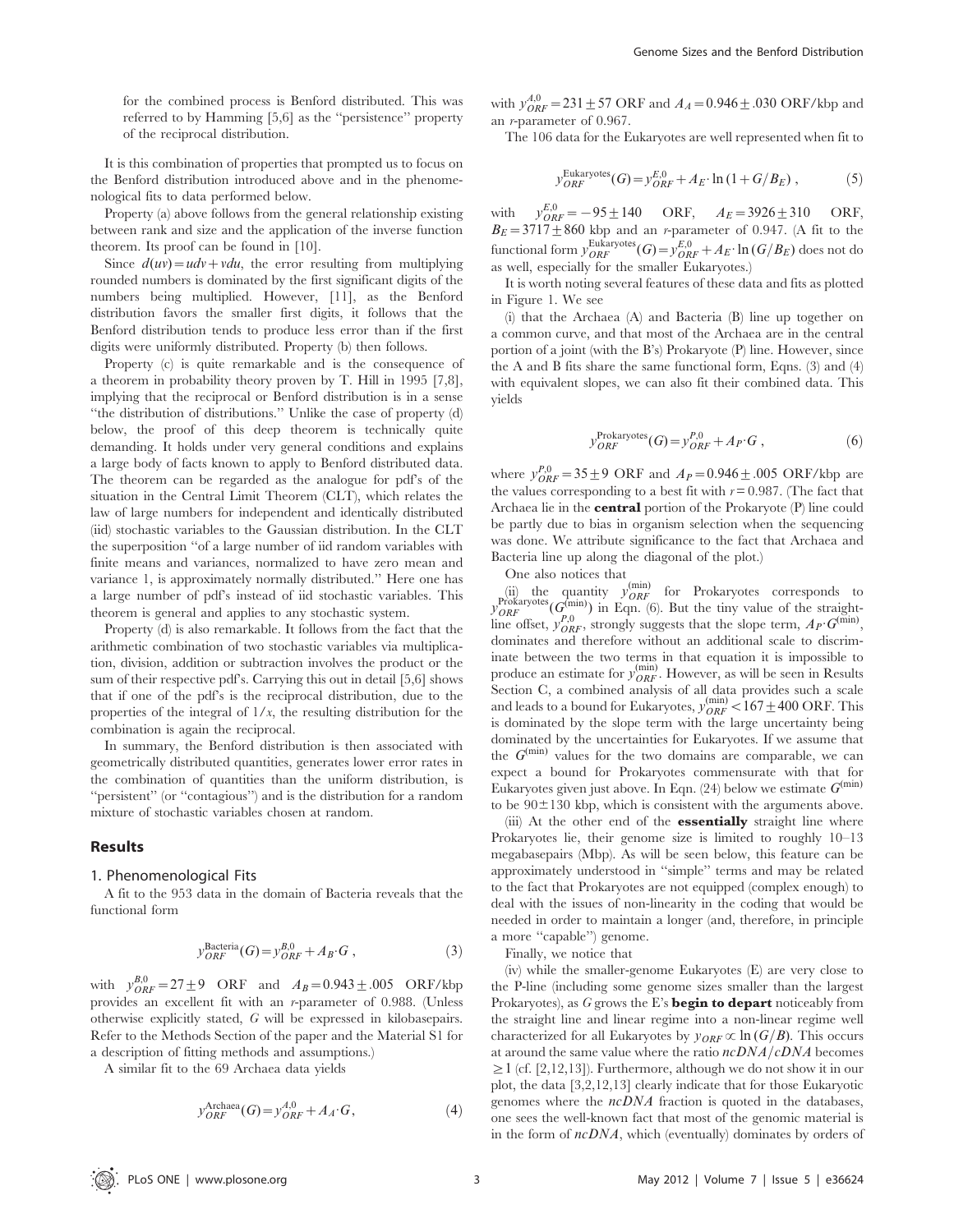for the combined process is Benford distributed. This was referred to by Hamming [5,6] as the ''persistence'' property of the reciprocal distribution.

It is this combination of properties that prompted us to focus on the Benford distribution introduced above and in the phenomenological fits to data performed below.

Property (a) above follows from the general relationship existing between rank and size and the application of the inverse function theorem. Its proof can be found in [10].

Since  $d(uv) = u dv + v du$ , the error resulting from multiplying rounded numbers is dominated by the first significant digits of the numbers being multiplied. However, [11], as the Benford distribution favors the smaller first digits, it follows that the Benford distribution tends to produce less error than if the first digits were uniformly distributed. Property (b) then follows.

Property (c) is quite remarkable and is the consequence of a theorem in probability theory proven by T. Hill in 1995 [7,8], implying that the reciprocal or Benford distribution is in a sense ''the distribution of distributions.'' Unlike the case of property (d) below, the proof of this deep theorem is technically quite demanding. It holds under very general conditions and explains a large body of facts known to apply to Benford distributed data. The theorem can be regarded as the analogue for pdf's of the situation in the Central Limit Theorem (CLT), which relates the law of large numbers for independent and identically distributed (iid) stochastic variables to the Gaussian distribution. In the CLT the superposition ''of a large number of iid random variables with finite means and variances, normalized to have zero mean and variance 1, is approximately normally distributed.'' Here one has a large number of pdf's instead of iid stochastic variables. This theorem is general and applies to any stochastic system.

Property (d) is also remarkable. It follows from the fact that the arithmetic combination of two stochastic variables via multiplication, division, addition or subtraction involves the product or the sum of their respective pdf's. Carrying this out in detail [5,6] shows that if one of the pdf's is the reciprocal distribution, due to the properties of the integral of  $1/x$ , the resulting distribution for the combination is again the reciprocal.

In summary, the Benford distribution is then associated with geometrically distributed quantities, generates lower error rates in the combination of quantities than the uniform distribution, is ''persistent'' (or ''contagious'') and is the distribution for a random mixture of stochastic variables chosen at random.

## Results

## 1. Phenomenological Fits

A fit to the 953 data in the domain of Bacteria reveals that the functional form

$$
y_{ORF}^{\text{Bacteria}}(G) = y_{ORF}^{B,0} + A_B \cdot G \,, \tag{3}
$$

with  $y_{ORF}^{B,0} = 27 \pm 9$  ORF and  $A_B = 0.943 \pm .005$  ORF/kbp provides an excellent fit with an r-parameter of 0.988. (Unless otherwise explicitly stated, G will be expressed in kilobasepairs. Refer to the Methods Section of the paper and the Material S1 for a description of fitting methods and assumptions.)

A similar fit to the 69 Archaea data yields

$$
y_{ORF}^\text{Archaea}(G) = y_{ORF}^{A,0} + A_A \cdot G,\tag{4}
$$

with  $y_{ORF}^{A,0} = 231 \pm 57$  ORF and  $A_A = 0.946 \pm .030$  ORF/kbp and an r-parameter of 0.967.

The 106 data for the Eukaryotes are well represented when fit to

$$
y_{ORF}^{\text{Eukaryotes}}(G) = y_{ORF}^{E,0} + A_E \cdot \ln(1 + G/B_E), \qquad (5)
$$

with  $y_{ORF}^{E,0} = -95 \pm 140$  ORF,  $A_E = 3926 \pm 310$  ORF,  $B_E=3717\pm860$  kbp and an *r*-parameter of 0.947. (A fit to the functional form  $y_{ORF}^{\text{Eukaryotes}}(G) = y_{ORF}^{E,0} + A_E \cdot \ln(G/B_E)$  does not do as well, especially for the smaller Eukaryotes.)

It is worth noting several features of these data and fits as plotted in Figure 1. We see

(i) that the Archaea (A) and Bacteria (B) line up together on a common curve, and that most of the Archaea are in the central portion of a joint (with the B's) Prokaryote (P) line. However, since the A and B fits share the same functional form, Eqns. (3) and (4) with equivalent slopes, we can also fit their combined data. This yields

$$
y_{ORF}^{\text{Prokaryotes}}(G) = y_{ORF}^{P,0} + A_P \cdot G , \qquad (6)
$$

where  $y_{ORF}^{P,0} = 35 \pm 9$  ORF and  $A_P = 0.946 \pm .005$  ORF/kbp are the values corresponding to a best fit with  $r = 0.987$ . (The fact that Archaea lie in the **central** portion of the Prokaryote (P) line could be partly due to bias in organism selection when the sequencing was done. We attribute significance to the fact that Archaea and Bacteria line up along the diagonal of the plot.)

One also notices that

(ii) the quantity  $y_{ORF}^{(min)}$  for Prokaryotes corresponds to  $y_{ORF}^{Prokaryotes}(G_{n.o}^{(min)})$  in Eqn. (6). But the tiny value of the straightline offset,  $y_{ORF}^{p,0}$ , strongly suggests that the slope term,  $A_P \cdot G^{(\text{min})}$ , dominates and therefore without an additional scale to discriminate between the two terms in that equation it is impossible to produce an estimate for  $y_{ORF}^{(min)}$ . However, as will be seen in Results Section C, a combined analysis of all data provides such a scale and leads to a bound for Eukaryotes,  $y_{ORF}^{(\text{min})} < 167 \pm 400 \text{ ORF}$ . This is dominated by the slope term with the large uncertainty being dominated by the uncertainties for Eukaryotes. If we assume that the  $G^{(\min)}$  values for the two domains are comparable, we can expect a bound for Prokaryotes commensurate with that for Eukaryotes given just above. In Eqn. (24) below we estimate  $G^{(\min)}$ to be  $90\pm130$  kbp, which is consistent with the arguments above.

(iii) At the other end of the **essentially** straight line where Prokaryotes lie, their genome size is limited to roughly 10–13 megabasepairs (Mbp). As will be seen below, this feature can be approximately understood in ''simple'' terms and may be related to the fact that Prokaryotes are not equipped (complex enough) to deal with the issues of non-linearity in the coding that would be needed in order to maintain a longer (and, therefore, in principle a more ''capable'') genome.

Finally, we notice that

(iv) while the smaller-genome Eukaryotes (E) are very close to the P-line (including some genome sizes smaller than the largest Prokaryotes), as  $G$  grows the E's **begin to depart** noticeably from the straight line and linear regime into a non-linear regime well characterized for all Eukaryotes by  $y_{ORF} \propto \ln (G/B)$ . This occurs at around the same value where the ratio  $ncDNA/cDNA$  becomes  $\geq$  1 (cf. [2,12,13]). Furthermore, although we do not show it in our plot, the data [3,2,12,13] clearly indicate that for those Eukaryotic genomes where the  $ncDNA$  fraction is quoted in the databases. one sees the well-known fact that most of the genomic material is in the form of ncDNA, which (eventually) dominates by orders of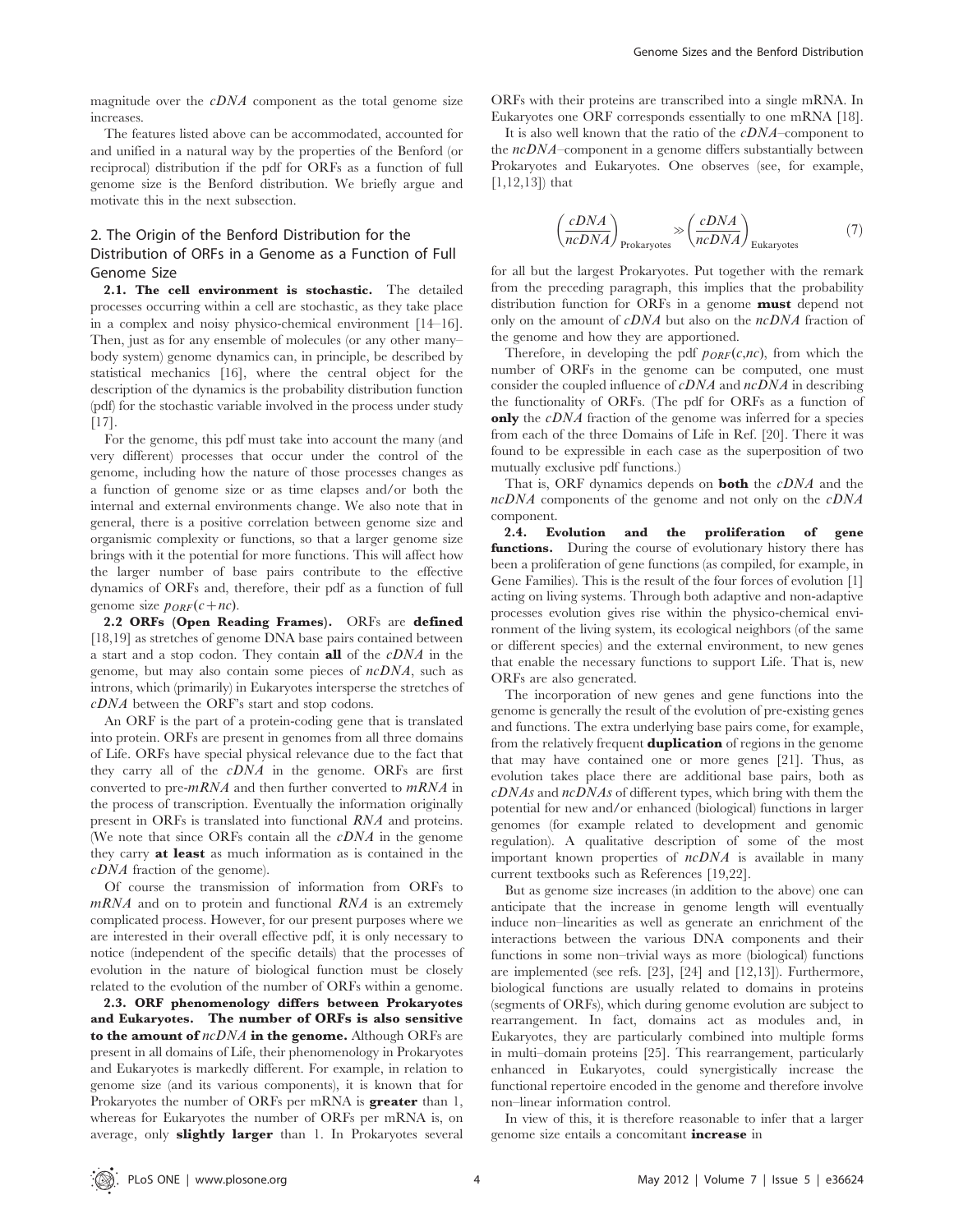magnitude over the  $cDNA$  component as the total genome size increases.

The features listed above can be accommodated, accounted for and unified in a natural way by the properties of the Benford (or reciprocal) distribution if the pdf for ORFs as a function of full genome size is the Benford distribution. We briefly argue and motivate this in the next subsection.

# 2. The Origin of the Benford Distribution for the Distribution of ORFs in a Genome as a Function of Full Genome Size

2.1. The cell environment is stochastic. The detailed processes occurring within a cell are stochastic, as they take place in a complex and noisy physico-chemical environment [14–16]. Then, just as for any ensemble of molecules (or any other many– body system) genome dynamics can, in principle, be described by statistical mechanics [16], where the central object for the description of the dynamics is the probability distribution function (pdf) for the stochastic variable involved in the process under study [17].

For the genome, this pdf must take into account the many (and very different) processes that occur under the control of the genome, including how the nature of those processes changes as a function of genome size or as time elapses and/or both the internal and external environments change. We also note that in general, there is a positive correlation between genome size and organismic complexity or functions, so that a larger genome size brings with it the potential for more functions. This will affect how the larger number of base pairs contribute to the effective dynamics of ORFs and, therefore, their pdf as a function of full genome size  $p_{ORF}(c+nc)$ .

2.2 ORFs (Open Reading Frames). ORFs are defined [18,19] as stretches of genome DNA base pairs contained between a start and a stop codon. They contain **all** of the  $cDNA$  in the genome, but may also contain some pieces of ncDNA, such as introns, which (primarily) in Eukaryotes intersperse the stretches of cDNA between the ORF's start and stop codons.

An ORF is the part of a protein-coding gene that is translated into protein. ORFs are present in genomes from all three domains of Life. ORFs have special physical relevance due to the fact that they carry all of the  $cDNA$  in the genome. ORFs are first converted to pre- $mRNA$  and then further converted to  $mRNA$  in the process of transcription. Eventually the information originally present in ORFs is translated into functional RNA and proteins. (We note that since ORFs contain all the  $cDNA$  in the genome they carry **at least** as much information as is contained in the cDNA fraction of the genome).

Of course the transmission of information from ORFs to  $mRNA$  and on to protein and functional  $RNA$  is an extremely complicated process. However, for our present purposes where we are interested in their overall effective pdf, it is only necessary to notice (independent of the specific details) that the processes of evolution in the nature of biological function must be closely related to the evolution of the number of ORFs within a genome.

2.3. ORF phenomenology differs between Prokaryotes and Eukaryotes. The number of ORFs is also sensitive to the amount of  $ncDNA$  in the genome. Although ORFs are present in all domains of Life, their phenomenology in Prokaryotes and Eukaryotes is markedly different. For example, in relation to genome size (and its various components), it is known that for Prokaryotes the number of ORFs per mRNA is **greater** than 1, whereas for Eukaryotes the number of ORFs per mRNA is, on average, only **slightly larger** than 1. In Prokaryotes several ORFs with their proteins are transcribed into a single mRNA. In Eukaryotes one ORF corresponds essentially to one mRNA [18].

It is also well known that the ratio of the  $cDNA$ –component to the  $ncDNA$ –component in a genome differs substantially between Prokaryotes and Eukaryotes. One observes (see, for example,  $[1,12,13]$  that

$$
\left(\frac{cDNA}{ncDNA}\right)_{\text{Prokaryotes}} \gg \left(\frac{cDNA}{ncDNA}\right)_{\text{Eukaryotes}} \tag{7}
$$

for all but the largest Prokaryotes. Put together with the remark from the preceding paragraph, this implies that the probability distribution function for ORFs in a genome **must** depend not only on the amount of cDNA but also on the ncDNA fraction of the genome and how they are apportioned.

Therefore, in developing the pdf  $p_{ORF}(c,nc)$ , from which the number of ORFs in the genome can be computed, one must consider the coupled influence of cDNA and ncDNA in describing the functionality of ORFs. (The pdf for ORFs as a function of **only** the *cDNA* fraction of the genome was inferred for a species from each of the three Domains of Life in Ref. [20]. There it was found to be expressible in each case as the superposition of two mutually exclusive pdf functions.)

That is, ORF dynamics depends on **both** the  $cDNA$  and the ncDNA components of the genome and not only on the cDNA component.

2.4. Evolution and the proliferation of gene functions. During the course of evolutionary history there has been a proliferation of gene functions (as compiled, for example, in Gene Families). This is the result of the four forces of evolution [1] acting on living systems. Through both adaptive and non-adaptive processes evolution gives rise within the physico-chemical environment of the living system, its ecological neighbors (of the same or different species) and the external environment, to new genes that enable the necessary functions to support Life. That is, new ORFs are also generated.

The incorporation of new genes and gene functions into the genome is generally the result of the evolution of pre-existing genes and functions. The extra underlying base pairs come, for example, from the relatively frequent **duplication** of regions in the genome that may have contained one or more genes [21]. Thus, as evolution takes place there are additional base pairs, both as  $cDNAs$  and  $ncDNAs$  of different types, which bring with them the potential for new and/or enhanced (biological) functions in larger genomes (for example related to development and genomic regulation). A qualitative description of some of the most important known properties of ncDNA is available in many current textbooks such as References [19,22].

But as genome size increases (in addition to the above) one can anticipate that the increase in genome length will eventually induce non–linearities as well as generate an enrichment of the interactions between the various DNA components and their functions in some non–trivial ways as more (biological) functions are implemented (see refs. [23], [24] and [12,13]). Furthermore, biological functions are usually related to domains in proteins (segments of ORFs), which during genome evolution are subject to rearrangement. In fact, domains act as modules and, in Eukaryotes, they are particularly combined into multiple forms in multi–domain proteins [25]. This rearrangement, particularly enhanced in Eukaryotes, could synergistically increase the functional repertoire encoded in the genome and therefore involve non–linear information control.

In view of this, it is therefore reasonable to infer that a larger genome size entails a concomitant **increase** in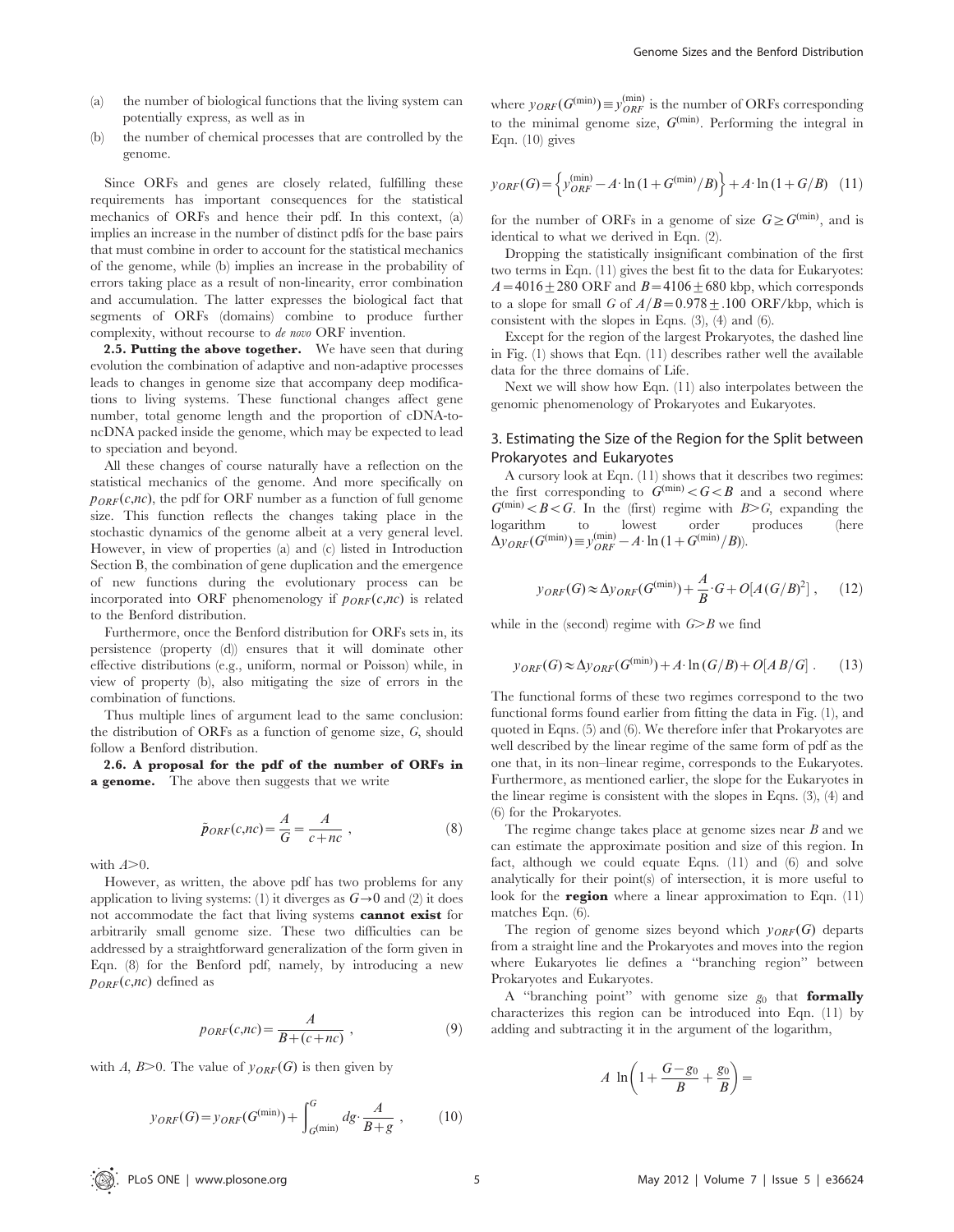(b) the number of chemical processes that are controlled by the genome.

Since ORFs and genes are closely related, fulfilling these requirements has important consequences for the statistical mechanics of ORFs and hence their pdf. In this context, (a) implies an increase in the number of distinct pdfs for the base pairs that must combine in order to account for the statistical mechanics of the genome, while (b) implies an increase in the probability of errors taking place as a result of non-linearity, error combination and accumulation. The latter expresses the biological fact that segments of ORFs (domains) combine to produce further complexity, without recourse to de novo ORF invention.

2.5. Putting the above together. We have seen that during evolution the combination of adaptive and non-adaptive processes leads to changes in genome size that accompany deep modifications to living systems. These functional changes affect gene number, total genome length and the proportion of cDNA-toncDNA packed inside the genome, which may be expected to lead to speciation and beyond.

All these changes of course naturally have a reflection on the statistical mechanics of the genome. And more specifically on  $p_{ORF}(c,nc)$ , the pdf for ORF number as a function of full genome size. This function reflects the changes taking place in the stochastic dynamics of the genome albeit at a very general level. However, in view of properties (a) and (c) listed in Introduction Section B, the combination of gene duplication and the emergence of new functions during the evolutionary process can be incorporated into ORF phenomenology if  $p_{ORF}(c,nc)$  is related to the Benford distribution.

Furthermore, once the Benford distribution for ORFs sets in, its persistence (property (d)) ensures that it will dominate other effective distributions (e.g., uniform, normal or Poisson) while, in view of property (b), also mitigating the size of errors in the combination of functions.

Thus multiple lines of argument lead to the same conclusion: the distribution of ORFs as a function of genome size, G, should follow a Benford distribution.

2.6. A proposal for the pdf of the number of ORFs in **a genome.** The above then suggests that we write

$$
\tilde{p}_{ORF}(c,nc) = \frac{A}{G} = \frac{A}{c+nc} ,
$$
\n(8)

with  $A\geq 0$ .

However, as written, the above pdf has two problems for any application to living systems: (1) it diverges as  $G \rightarrow 0$  and (2) it does not accommodate the fact that living systems cannot exist for arbitrarily small genome size. These two difficulties can be addressed by a straightforward generalization of the form given in Eqn. (8) for the Benford pdf, namely, by introducing a new  $p_{ORF}(c,nc)$  defined as

$$
p_{ORF}(c,nc) = \frac{A}{B + (c + nc)},
$$
\n(9)

with A,  $B>0$ . The value of  $y_{ORF}(G)$  is then given by

$$
y_{ORF}(G) = y_{ORF}(G^{(\min)}) + \int_{G^{(\min)}}^{G} dg \cdot \frac{A}{B+g} ,\qquad (10)
$$

where  $y_{ORF}(G^{(\text{min})}) \equiv y^{(\text{min})}_{ORF}$  is the number of ORFs corresponding to the minimal genome size,  $G^{(min)}$ . Performing the integral in Eqn. (10) gives

$$
y_{ORF}(G) = \left\{ y_{ORF}^{(\min)} - A \cdot \ln(1 + G^{(\min)}/B) \right\} + A \cdot \ln(1 + G/B) \quad (11)
$$

for the number of ORFs in a genome of size  $G \geq G^{(\min)}$ , and is identical to what we derived in Eqn. (2).

Dropping the statistically insignificant combination of the first two terms in Eqn. (11) gives the best fit to the data for Eukaryotes:  $A=4016\pm280$  ORF and  $B=4106\pm680$  kbp, which corresponds to a slope for small G of  $A/B=0.978\pm.100$  ORF/kbp, which is consistent with the slopes in Eqns. (3), (4) and (6).

Except for the region of the largest Prokaryotes, the dashed line in Fig. (1) shows that Eqn. (11) describes rather well the available data for the three domains of Life.

Next we will show how Eqn. (11) also interpolates between the genomic phenomenology of Prokaryotes and Eukaryotes.

# 3. Estimating the Size of the Region for the Split between Prokaryotes and Eukaryotes

A cursory look at Eqn. (11) shows that it describes two regimes: the first corresponding to  $G^{(\min)} < G < B$  and a second where  $G^{(\min)} < B < G$ . In the (first) regime with  $B > G$ , expanding the logarithm to lowest order produces (here  $\Delta y_{ORF}(G^{(\min)}) \equiv y_{ORF}^{(\min)} - A \cdot \ln(1 + G^{(\min)}/B)).$ 

$$
y_{ORF}(G) \approx \Delta y_{ORF}(G^{(\min)}) + \frac{A}{B} \cdot G + O[A(G/B)^2], \quad (12)
$$

while in the (second) regime with  $G \geq B$  we find

$$
y_{ORF}(G) \approx \Delta y_{ORF}(G^{(\min)}) + A \cdot \ln(G/B) + O[AB/G]. \tag{13}
$$

The functional forms of these two regimes correspond to the two functional forms found earlier from fitting the data in Fig. (1), and quoted in Eqns. (5) and (6). We therefore infer that Prokaryotes are well described by the linear regime of the same form of pdf as the one that, in its non–linear regime, corresponds to the Eukaryotes. Furthermore, as mentioned earlier, the slope for the Eukaryotes in the linear regime is consistent with the slopes in Eqns. (3), (4) and (6) for the Prokaryotes.

The regime change takes place at genome sizes near  $B$  and we can estimate the approximate position and size of this region. In fact, although we could equate Eqns. (11) and (6) and solve analytically for their point(s) of intersection, it is more useful to look for the **region** where a linear approximation to Eqn.  $(11)$ matches Eqn. (6).

The region of genome sizes beyond which  $y_{ORF}(G)$  departs from a straight line and the Prokaryotes and moves into the region where Eukaryotes lie defines a ''branching region'' between Prokaryotes and Eukaryotes.

A "branching point" with genome size  $g_0$  that **formally** characterizes this region can be introduced into Eqn. (11) by adding and subtracting it in the argument of the logarithm,

$$
A \ln\left(1 + \frac{G - g_0}{B} + \frac{g_0}{B}\right) =
$$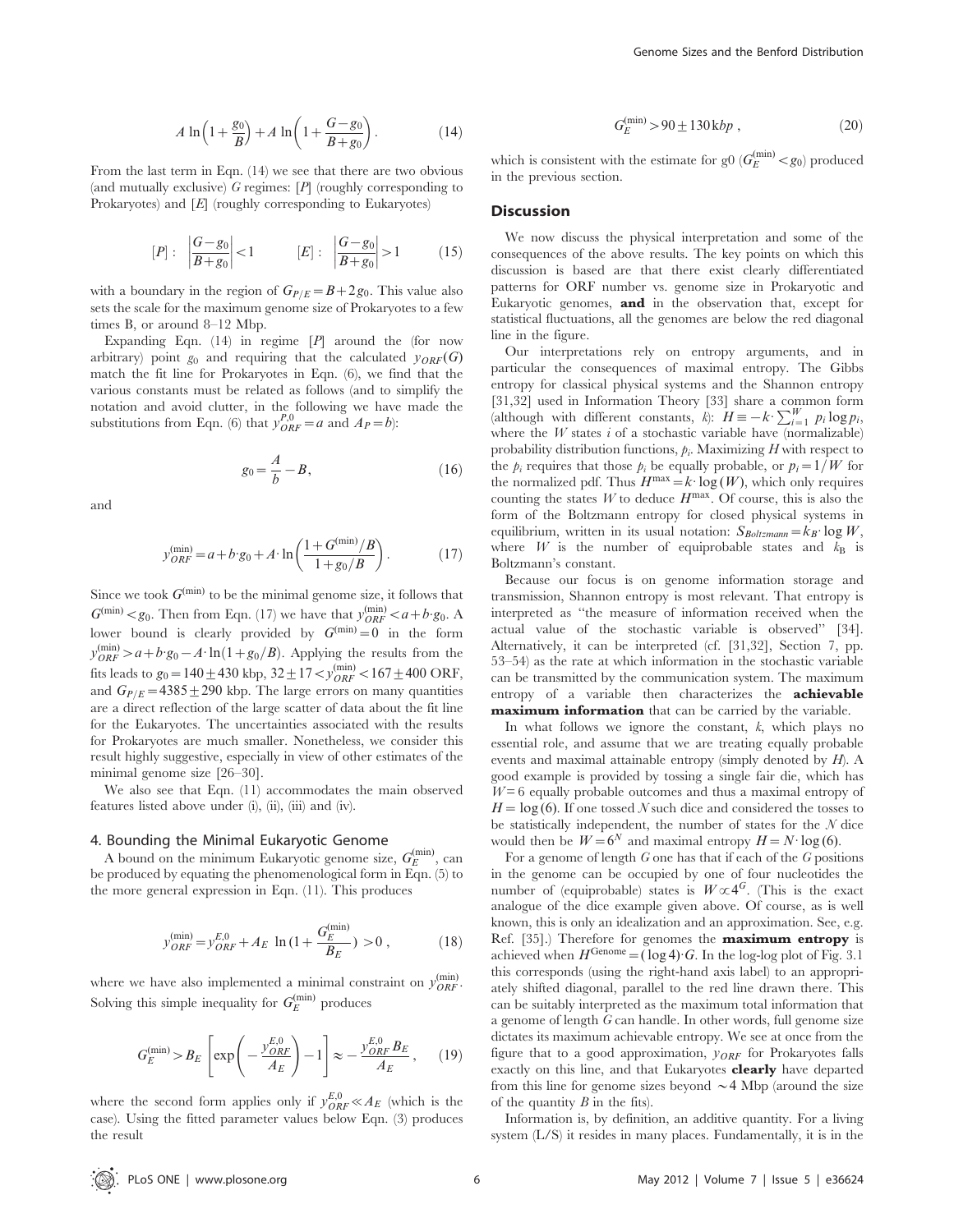$$
A \ln\left(1 + \frac{g_0}{B}\right) + A \ln\left(1 + \frac{G - g_0}{B + g_0}\right). \tag{14}
$$

From the last term in Eqn. (14) we see that there are two obvious (and mutually exclusive)  $G$  regimes:  $[P]$  (roughly corresponding to Prokaryotes) and [E] (roughly corresponding to Eukaryotes)

$$
[P]: \left| \frac{G - g_0}{B + g_0} \right| < 1 \qquad [E]: \left| \frac{G - g_0}{B + g_0} \right| > 1 \qquad (15)
$$

with a boundary in the region of  $G_{P/E}=B+2g_0$ . This value also sets the scale for the maximum genome size of Prokaryotes to a few times B, or around 8–12 Mbp.

Expanding Eqn.  $(14)$  in regime  $[P]$  around the (for now arbitrary) point  $g_0$  and requiring that the calculated  $y_{ORF}(G)$ match the fit line for Prokaryotes in Eqn. (6), we find that the various constants must be related as follows (and to simplify the notation and avoid clutter, in the following we have made the substitutions from Eqn. (6) that  $y_{ORF}^{P,0} = a$  and  $A_P = b$ ):

$$
g_0 = \frac{A}{b} - B,\tag{16}
$$

and

$$
y_{ORF}^{(\min)} = a + b \cdot g_0 + A \cdot \ln\left(\frac{1 + G^{(\min)}/B}{1 + g_0/B}\right). \tag{17}
$$

Since we took  $G^{(\min)}$  to be the minimal genome size, it follows that  $G^{(\min)} < g_0$ . Then from Eqn. (17) we have that  $y_{ORF}^{(\min)} < a+b \cdot g_0$ . A lower bound is clearly provided by  $G^{(\min)}=0$  in the form  $y_{ORF}^{(\text{min})} > a + b \cdot g_0 - A \cdot \ln(1 + g_0/B)$ . Applying the results from the fits leads to  $g_0 = 140 \pm 430$  kbp,  $32 \pm 17 < y_{ORF}^{(\text{min})} < 167 \pm 400$  ORF, and  $G_{P/E}$ =4385 + 290 kbp. The large errors on many quantities are a direct reflection of the large scatter of data about the fit line for the Eukaryotes. The uncertainties associated with the results for Prokaryotes are much smaller. Nonetheless, we consider this result highly suggestive, especially in view of other estimates of the minimal genome size [26–30].

We also see that Eqn. (11) accommodates the main observed features listed above under (i), (ii), (iii) and (iv).

#### 4. Bounding the Minimal Eukaryotic Genome

A bound on the minimum Eukaryotic genome size,  $G_E^{\text{(min)}}$ , can be produced by equating the phenomenological form in Eqn. (5) to the more general expression in Eqn. (11). This produces

$$
y_{ORF}^{(\min)} = y_{ORF}^{E,0} + A_E \ln(1 + \frac{G_E^{(\min)}}{B_E}) > 0 ,
$$
 (18)

where we have also implemented a minimal constraint on  $y_{ORF}^{(\text{min})}$ . Solving this simple inequality for  $G_E^{\text{(min)}}$  produces

$$
G_E^{\text{(min)}} > B_E \left[ \exp\left( -\frac{y_{ORF}^{E,0}}{A_E} \right) - 1 \right] \approx -\frac{y_{ORF}^{E,0} B_E}{A_E}, \quad (19)
$$

where the second form applies only if  $y_{ORF}^{E,0} \ll A_E$  (which is the case). Using the fitted parameter values below Eqn. (3) produces the result

$$
G_E^{\text{(min)}} > 90 \pm 130 \,\text{kbp} \,, \tag{20}
$$

which is consistent with the estimate for g0  $(G_E^{\text{(min)}} < g_0)$  produced in the previous section.

#### **Discussion**

We now discuss the physical interpretation and some of the consequences of the above results. The key points on which this discussion is based are that there exist clearly differentiated patterns for ORF number vs. genome size in Prokaryotic and Eukaryotic genomes, and in the observation that, except for statistical fluctuations, all the genomes are below the red diagonal line in the figure.

Our interpretations rely on entropy arguments, and in particular the consequences of maximal entropy. The Gibbs entropy for classical physical systems and the Shannon entropy [31,32] used in Information Theory [33] share a common form (although with different constants, k):  $H \equiv -k \sum_{i=1}^{W} p_i \log p_i$ , where the  $W$  states  $i$  of a stochastic variable have (normalizable) probability distribution functions,  $p_i$ . Maximizing  $H$  with respect to the  $p_i$  requires that those  $p_i$  be equally probable, or  $p_i=1/W$  for the normalized pdf. Thus  $H^{\text{max}} = k \cdot \log(W)$ , which only requires counting the states  $W$  to deduce  $H^{\text{max}}$ . Of course, this is also the form of the Boltzmann entropy for closed physical systems in equilibrium, written in its usual notation:  $S_{Boltzmann} = k_B \cdot \log W$ , where W is the number of equiprobable states and  $k_B$  is Boltzmann's constant.

Because our focus is on genome information storage and transmission, Shannon entropy is most relevant. That entropy is interpreted as ''the measure of information received when the actual value of the stochastic variable is observed'' [34]. Alternatively, it can be interpreted (cf. [31,32], Section 7, pp. 53–54) as the rate at which information in the stochastic variable can be transmitted by the communication system. The maximum entropy of a variable then characterizes the **achievable** maximum information that can be carried by the variable.

In what follows we ignore the constant,  $k$ , which plays no essential role, and assume that we are treating equally probable events and maximal attainable entropy (simply denoted by H). A good example is provided by tossing a single fair die, which has  $W = 6$  equally probable outcomes and thus a maximal entropy of  $H = \log(6)$ . If one tossed N such dice and considered the tosses to be statistically independent, the number of states for the  $N$  dice would then be  $W=6^N$  and maximal entropy  $H=N \cdot \log(6)$ .

For a genome of length  $G$  one has that if each of the  $G$  positions in the genome can be occupied by one of four nucleotides the number of (equiprobable) states is  $W \propto 4^{\degree}$ . (This is the exact analogue of the dice example given above. Of course, as is well known, this is only an idealization and an approximation. See, e.g. Ref. [35].) Therefore for genomes the **maximum entropy** is achieved when  $H^{\text{Genome}} = (\log 4) \cdot G$ . In the log-log plot of Fig. 3.1 this corresponds (using the right-hand axis label) to an appropriately shifted diagonal, parallel to the red line drawn there. This can be suitably interpreted as the maximum total information that a genome of length G can handle. In other words, full genome size dictates its maximum achievable entropy. We see at once from the figure that to a good approximation,  $y_{ORF}$  for Prokaryotes falls exactly on this line, and that Eukaryotes clearly have departed from this line for genome sizes beyond  $\sim$  4 Mbp (around the size of the quantity  $B$  in the fits).

Information is, by definition, an additive quantity. For a living system (L/S) it resides in many places. Fundamentally, it is in the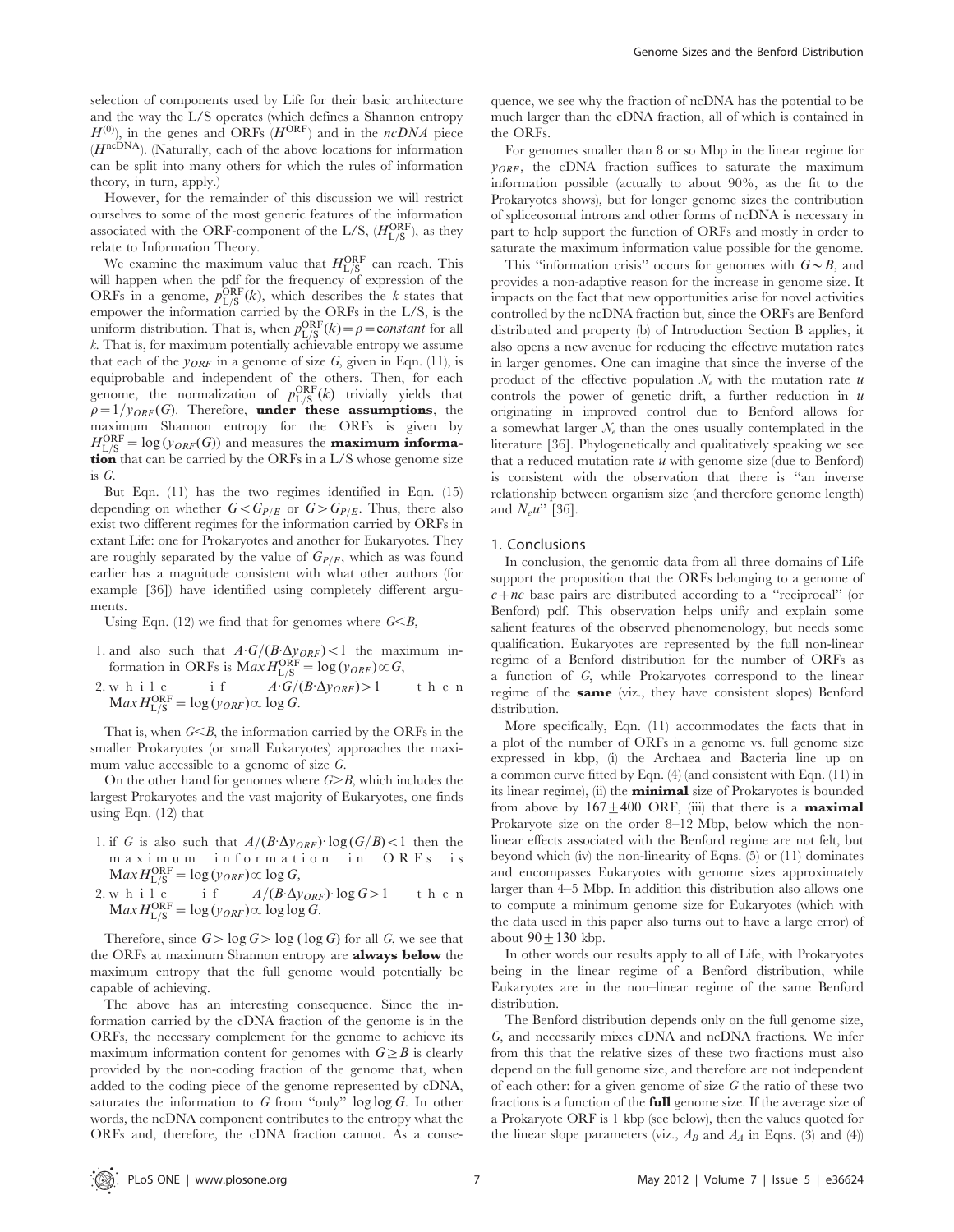selection of components used by Life for their basic architecture and the way the L/S operates (which defines a Shannon entropy  $H^{(0)}$ ), in the genes and ORFs ( $H^{ORF}$ ) and in the ncDNA piece  $(H^{\operatorname{n cDNA}}).$  (Naturally, each of the above locations for information can be split into many others for which the rules of information theory, in turn, apply.)

However, for the remainder of this discussion we will restrict ourselves to some of the most generic features of the information associated with the ORF-component of the L/S,  $(H_{L/S}^{ORF})$ , as they relate to Information Theory.

We examine the maximum value that  $H_{L/S}^{\rm ORF}$  can reach. This will happen when the pdf for the frequency of expression of the ORFs in a genome,  $p_{L/S}^{\text{ORF}}(k)$ , which describes the k states that empower the information carried by the ORFs in the L/S, is the uniform distribution. That is, when  $p_{L/S}^{\text{ORF}}(k) = \rho = \text{constant}$  for all k. That is, for maximum potentially achievable entropy we assume that each of the  $y_{ORF}$  in a genome of size G, given in Eqn. (11), is equiprobable and independent of the others. Then, for each genome, the normalization of  $p_{L/S}^{\text{ORF}}(k)$  trivially yields that  $\rho=1/y_{ORF}(G)$ . Therefore, under these assumptions, the maximum Shannon entropy for the ORFs is given by  $H_{L/S}^{\rm ORF} = \log(y_{ORF}(G))$  and measures the **maximum informa**tion that can be carried by the ORFs in a L/S whose genome size is G.

But Eqn. (11) has the two regimes identified in Eqn. (15) depending on whether  $G < G_{P/E}$  or  $G > G_{P/E}$ . Thus, there also exist two different regimes for the information carried by ORFs in extant Life: one for Prokaryotes and another for Eukaryotes. They are roughly separated by the value of  $G_{P/E}$ , which as was found earlier has a magnitude consistent with what other authors (for example [36]) have identified using completely different arguments.

Using Eqn. (12) we find that for genomes where  $G \leq B$ ,

- 1. and also such that  $A \cdot G / (B \cdot \Delta y_{ORF}) < 1$  the maximum information in ORFs is  $Max H_{L/S}^{ORF} = log(y_{ORF}) \propto G$ ,
- 2. while if  $A \cdot G / (B \cdot \Delta y_{ORF}) > 1$  then  $\text{Max}\,H_{\text{L/S}}^{\text{ORF}} = \log(y_{ORF}) \propto \log G.$

That is, when  $G \leq B$ , the information carried by the ORFs in the smaller Prokaryotes (or small Eukaryotes) approaches the maximum value accessible to a genome of size G.

On the other hand for genomes where  $G \geq B$ , which includes the largest Prokaryotes and the vast majority of Eukaryotes, one finds using Eqn. (12) that

- 1. if G is also such that  $A/(B \Delta y_{ORF})$  log  $(G/B)$  < 1 then the maximum information in ORFs is  $\text{Max}\,H_{\text{L/S}}^{\text{ORF}} = \log(y_{ORF}) \propto \log G,$
- 2. while if  $A/(B \cdot \Delta y_{ORF}) \cdot \log G > 1$  then  $\text{Max}\,H_{\text{L/S}}^{\text{ORF}} = \log(y_{ORF}) \propto \log \log G.$

Therefore, since  $G > \log G > \log (\log G)$  for all G, we see that the ORFs at maximum Shannon entropy are **always below** the maximum entropy that the full genome would potentially be capable of achieving.

The above has an interesting consequence. Since the information carried by the cDNA fraction of the genome is in the ORFs, the necessary complement for the genome to achieve its maximum information content for genomes with  $G \geq B$  is clearly provided by the non-coding fraction of the genome that, when added to the coding piece of the genome represented by cDNA, saturates the information to  $G$  from "only"  $\log \log G$ . In other words, the ncDNA component contributes to the entropy what the ORFs and, therefore, the cDNA fraction cannot. As a consequence, we see why the fraction of ncDNA has the potential to be much larger than the cDNA fraction, all of which is contained in the ORFs.

For genomes smaller than 8 or so Mbp in the linear regime for  $y_{ORF}$ , the cDNA fraction suffices to saturate the maximum information possible (actually to about 90%, as the fit to the Prokaryotes shows), but for longer genome sizes the contribution of spliceosomal introns and other forms of ncDNA is necessary in part to help support the function of ORFs and mostly in order to saturate the maximum information value possible for the genome.

This "information crisis" occurs for genomes with  $G \sim B$ , and provides a non-adaptive reason for the increase in genome size. It impacts on the fact that new opportunities arise for novel activities controlled by the ncDNA fraction but, since the ORFs are Benford distributed and property (b) of Introduction Section B applies, it also opens a new avenue for reducing the effective mutation rates in larger genomes. One can imagine that since the inverse of the product of the effective population  $\mathcal{N}_e$  with the mutation rate u controls the power of genetic drift, a further reduction in  $u$ originating in improved control due to Benford allows for a somewhat larger  $\mathcal{N}_{e}$  than the ones usually contemplated in the literature [36]. Phylogenetically and qualitatively speaking we see that a reduced mutation rate  $u$  with genome size (due to Benford) is consistent with the observation that there is ''an inverse relationship between organism size (and therefore genome length) and  $N_e u$ " [36].

#### 1. Conclusions

In conclusion, the genomic data from all three domains of Life support the proposition that the ORFs belonging to a genome of  $c+nc$  base pairs are distributed according to a "reciprocal" (or Benford) pdf. This observation helps unify and explain some salient features of the observed phenomenology, but needs some qualification. Eukaryotes are represented by the full non-linear regime of a Benford distribution for the number of ORFs as a function of G, while Prokaryotes correspond to the linear regime of the **same** (viz., they have consistent slopes) Benford distribution.

More specifically, Eqn. (11) accommodates the facts that in a plot of the number of ORFs in a genome vs. full genome size expressed in kbp, (i) the Archaea and Bacteria line up on a common curve fitted by Eqn. (4) (and consistent with Eqn. (11) in its linear regime), (ii) the **minimal** size of Prokaryotes is bounded from above by  $167 \pm 400$  ORF, (iii) that there is a **maximal** Prokaryote size on the order 8–12 Mbp, below which the nonlinear effects associated with the Benford regime are not felt, but beyond which (iv) the non-linearity of Eqns. (5) or (11) dominates and encompasses Eukaryotes with genome sizes approximately larger than 4–5 Mbp. In addition this distribution also allows one to compute a minimum genome size for Eukaryotes (which with the data used in this paper also turns out to have a large error) of about  $90+130$  kbp.

In other words our results apply to all of Life, with Prokaryotes being in the linear regime of a Benford distribution, while Eukaryotes are in the non–linear regime of the same Benford distribution.

The Benford distribution depends only on the full genome size, G, and necessarily mixes cDNA and ncDNA fractions. We infer from this that the relative sizes of these two fractions must also depend on the full genome size, and therefore are not independent of each other: for a given genome of size  $G$  the ratio of these two fractions is a function of the full genome size. If the average size of a Prokaryote ORF is 1 kbp (see below), then the values quoted for the linear slope parameters (viz.,  $A_B$  and  $A_A$  in Eqns. (3) and (4))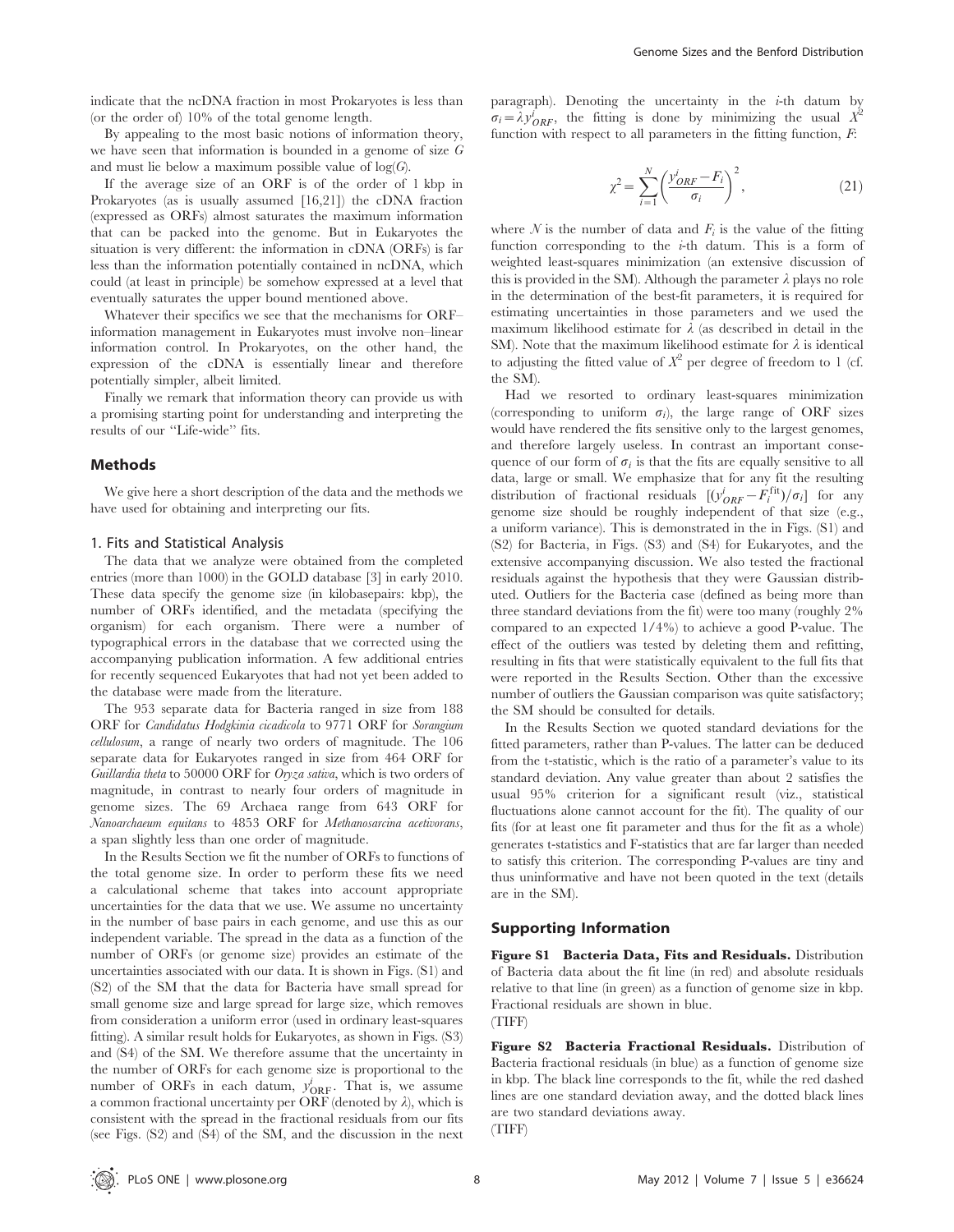indicate that the ncDNA fraction in most Prokaryotes is less than (or the order of) 10% of the total genome length.

By appealing to the most basic notions of information theory, we have seen that information is bounded in a genome of size  $G$ and must lie below a maximum possible value of  $log(G)$ .

If the average size of an ORF is of the order of 1 kbp in Prokaryotes (as is usually assumed [16,21]) the cDNA fraction (expressed as ORFs) almost saturates the maximum information that can be packed into the genome. But in Eukaryotes the situation is very different: the information in cDNA (ORFs) is far less than the information potentially contained in ncDNA, which could (at least in principle) be somehow expressed at a level that eventually saturates the upper bound mentioned above.

Whatever their specifics we see that the mechanisms for ORF– information management in Eukaryotes must involve non–linear information control. In Prokaryotes, on the other hand, the expression of the cDNA is essentially linear and therefore potentially simpler, albeit limited.

Finally we remark that information theory can provide us with a promising starting point for understanding and interpreting the results of our ''Life-wide'' fits.

## Methods

We give here a short description of the data and the methods we have used for obtaining and interpreting our fits.

## 1. Fits and Statistical Analysis

The data that we analyze were obtained from the completed entries (more than 1000) in the GOLD database [3] in early 2010. These data specify the genome size (in kilobasepairs: kbp), the number of ORFs identified, and the metadata (specifying the organism) for each organism. There were a number of typographical errors in the database that we corrected using the accompanying publication information. A few additional entries for recently sequenced Eukaryotes that had not yet been added to the database were made from the literature.

The 953 separate data for Bacteria ranged in size from 188 ORF for Candidatus Hodgkinia cicadicola to 9771 ORF for Sorangium cellulosum, a range of nearly two orders of magnitude. The 106 separate data for Eukaryotes ranged in size from 464 ORF for Guillardia theta to 50000 ORF for Oryza sativa, which is two orders of magnitude, in contrast to nearly four orders of magnitude in genome sizes. The 69 Archaea range from 643 ORF for Nanoarchaeum equitans to 4853 ORF for Methanosarcina acetivorans, a span slightly less than one order of magnitude.

In the Results Section we fit the number of ORFs to functions of the total genome size. In order to perform these fits we need a calculational scheme that takes into account appropriate uncertainties for the data that we use. We assume no uncertainty in the number of base pairs in each genome, and use this as our independent variable. The spread in the data as a function of the number of ORFs (or genome size) provides an estimate of the uncertainties associated with our data. It is shown in Figs. (S1) and (S2) of the SM that the data for Bacteria have small spread for small genome size and large spread for large size, which removes from consideration a uniform error (used in ordinary least-squares fitting). A similar result holds for Eukaryotes, as shown in Figs. (S3) and (S4) of the SM. We therefore assume that the uncertainty in the number of ORFs for each genome size is proportional to the number of ORFs in each datum,  $y_{ORF}^i$ . That is, we assume a common fractional uncertainty per  $\widetilde{\text{ORF}}$  (denoted by  $\lambda$ ), which is consistent with the spread in the fractional residuals from our fits (see Figs. (S2) and (S4) of the SM, and the discussion in the next paragraph). Denoting the uncertainty in the  $i$ -th datum by  $\sigma_i = \lambda y_{ORF}^i$ , the fitting is done by minimizing the usual  $X^2$ function with respect to all parameters in the fitting function,  $F$ :

$$
\chi^2 = \sum_{i=1}^N \left( \frac{y_{ORF}^i - F_i}{\sigma_i} \right)^2,\tag{21}
$$

where N is the number of data and  $F_i$  is the value of the fitting function corresponding to the  $i$ -th datum. This is a form of weighted least-squares minimization (an extensive discussion of this is provided in the SM). Although the parameter  $\lambda$  plays no role in the determination of the best-fit parameters, it is required for estimating uncertainties in those parameters and we used the maximum likelihood estimate for  $\lambda$  (as described in detail in the SM). Note that the maximum likelihood estimate for  $\lambda$  is identical to adjusting the fitted value of  $X^2$  per degree of freedom to 1 (cf. the SM).

Had we resorted to ordinary least-squares minimization (corresponding to uniform  $\sigma_i$ ), the large range of ORF sizes would have rendered the fits sensitive only to the largest genomes, and therefore largely useless. In contrast an important consequence of our form of  $\sigma_i$  is that the fits are equally sensitive to all data, large or small. We emphasize that for any fit the resulting distribution of fractional residuals  $[(y_{ORF}^i - F_i^{\text{fit}})/\sigma_i]$  for any genome size should be roughly independent of that size (e.g., a uniform variance). This is demonstrated in the in Figs. (S1) and (S2) for Bacteria, in Figs. (S3) and (S4) for Eukaryotes, and the extensive accompanying discussion. We also tested the fractional residuals against the hypothesis that they were Gaussian distributed. Outliers for the Bacteria case (defined as being more than three standard deviations from the fit) were too many (roughly 2% compared to an expected 1/4%) to achieve a good P-value. The effect of the outliers was tested by deleting them and refitting, resulting in fits that were statistically equivalent to the full fits that were reported in the Results Section. Other than the excessive number of outliers the Gaussian comparison was quite satisfactory: the SM should be consulted for details.

In the Results Section we quoted standard deviations for the fitted parameters, rather than P-values. The latter can be deduced from the t-statistic, which is the ratio of a parameter's value to its standard deviation. Any value greater than about 2 satisfies the usual 95% criterion for a significant result (viz., statistical fluctuations alone cannot account for the fit). The quality of our fits (for at least one fit parameter and thus for the fit as a whole) generates t-statistics and F-statistics that are far larger than needed to satisfy this criterion. The corresponding P-values are tiny and thus uninformative and have not been quoted in the text (details are in the SM).

# Supporting Information

Figure S1 Bacteria Data, Fits and Residuals. Distribution of Bacteria data about the fit line (in red) and absolute residuals relative to that line (in green) as a function of genome size in kbp. Fractional residuals are shown in blue. (TIFF)

Figure S2 Bacteria Fractional Residuals. Distribution of Bacteria fractional residuals (in blue) as a function of genome size in kbp. The black line corresponds to the fit, while the red dashed lines are one standard deviation away, and the dotted black lines are two standard deviations away.

(TIFF)